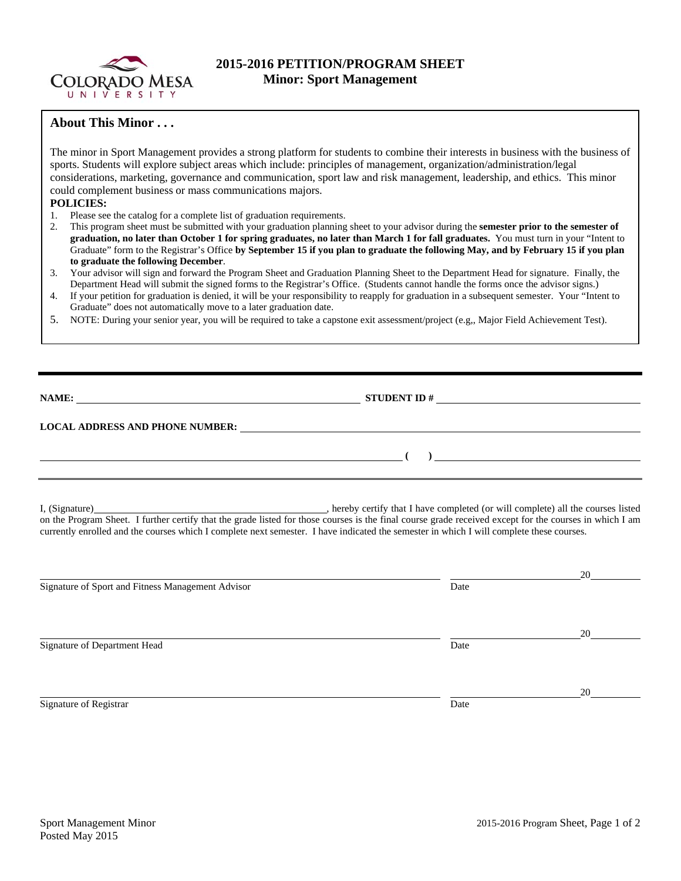

# **2015-2016 PETITION/PROGRAM SHEET Minor: Sport Management**

## **About This Minor . . .**

The minor in Sport Management provides a strong platform for students to combine their interests in business with the business of sports. Students will explore subject areas which include: principles of management, organization/administration/legal considerations, marketing, governance and communication, sport law and risk management, leadership, and ethics. This minor could complement business or mass communications majors.

## **POLICIES:**

- 1. Please see the catalog for a complete list of graduation requirements.
- 2. This program sheet must be submitted with your graduation planning sheet to your advisor during the **semester prior to the semester of graduation, no later than October 1 for spring graduates, no later than March 1 for fall graduates.** You must turn in your "Intent to Graduate" form to the Registrar's Office **by September 15 if you plan to graduate the following May, and by February 15 if you plan to graduate the following December**.
- 3. Your advisor will sign and forward the Program Sheet and Graduation Planning Sheet to the Department Head for signature. Finally, the Department Head will submit the signed forms to the Registrar's Office. (Students cannot handle the forms once the advisor signs.)
- 4. If your petition for graduation is denied, it will be your responsibility to reapply for graduation in a subsequent semester. Your "Intent to Graduate" does not automatically move to a later graduation date.
- 5. NOTE: During your senior year, you will be required to take a capstone exit assessment/project (e.g,, Major Field Achievement Test).

**NAME: STUDENT ID # STUDENT ID # STUDENT ID # STUDENT ID # STUDENT ID # STUDENT ID # STUDENT ID # STUDENT ID # STUDENT 1D + STUDENT 1D + STUDENT 1D + STUDENT 1D + STUDENT 1D + STUDENT 1D + STU** 

 **( )** 

### **LOCAL ADDRESS AND PHONE NUMBER:**

I, (Signature) , hereby certify that I have completed (or will complete) all the courses listed on the Program Sheet. I further certify that the grade listed for those courses is the final course grade received except for the courses in which I am currently enrolled and the courses which I complete next semester. I have indicated the semester in which I will complete these courses.

|                                                   |      | 20 |
|---------------------------------------------------|------|----|
| Signature of Sport and Fitness Management Advisor | Date |    |
|                                                   |      |    |
|                                                   |      | 20 |
| Signature of Department Head                      | Date |    |
|                                                   |      |    |
|                                                   |      | 20 |
| Signature of Registrar                            | Date |    |